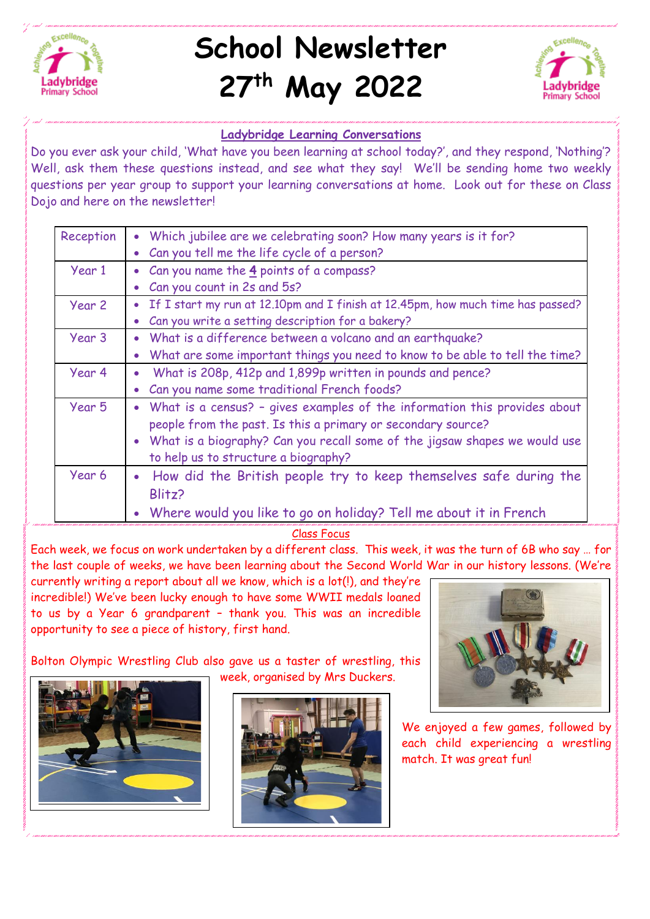

## **School Newsletter 27th May 2022**



## **Ladybridge Learning Conversations**

Do you ever ask your child, 'What have you been learning at school today?', and they respond, 'Nothing'? Well, ask them these questions instead, and see what they say! We'll be sending home two weekly questions per year group to support your learning conversations at home. Look out for these on Class Dojo and here on the newsletter!

| Reception | • Which jubilee are we celebrating soon? How many years is it for?                |
|-----------|-----------------------------------------------------------------------------------|
|           | Can you tell me the life cycle of a person?                                       |
| Year 1    | • Can you name the 4 points of a compass?                                         |
|           | Can you count in 2s and 5s?                                                       |
| Year 2    | • If I start my run at 12.10pm and I finish at 12.45pm, how much time has passed? |
|           | Can you write a setting description for a bakery?                                 |
| Year 3    | What is a difference between a volcano and an earthquake?                         |
|           | What are some important things you need to know to be able to tell the time?      |
| Year 4    | What is 208p, 412p and 1,899p written in pounds and pence?                        |
|           | Can you name some traditional French foods?                                       |
| Year 5    | • What is a census? - gives examples of the information this provides about       |
|           | people from the past. Is this a primary or secondary source?                      |
|           | • What is a biography? Can you recall some of the jigsaw shapes we would use      |
|           | to help us to structure a biography?                                              |
| Year 6    | How did the British people try to keep themselves safe during the                 |
|           | Blitz?                                                                            |
|           | • Where would you like to go on holiday? Tell me about it in French               |

## Class Focus

Each week, we focus on work undertaken by a different class. This week, it was the turn of 6B who say … for the last couple of weeks, we have been learning about the Second World War in our history lessons. (We're

currently writing a report about all we know, which is a lot(!), and they're incredible!) We've been lucky enough to have some WWII medals loaned to us by a Year 6 grandparent – thank you. This was an incredible opportunity to see a piece of history, first hand.

Bolton Olympic Wrestling Club also gave us a taster of wrestling, this week, organised by Mrs Duckers.







We enjoyed a few games, followed by each child experiencing a wrestling match. It was great fun!